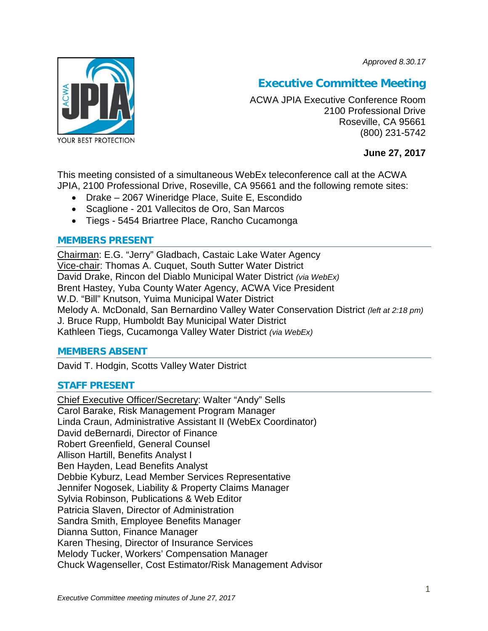*Approved 8.30.17*



# **Executive Committee Meeting**

ACWA JPIA Executive Conference Room 2100 Professional Drive Roseville, CA 95661 (800) 231-5742

# **June 27, 2017**

This meeting consisted of a simultaneous WebEx teleconference call at the ACWA JPIA, 2100 Professional Drive, Roseville, CA 95661 and the following remote sites:

- Drake 2067 Wineridge Place, Suite E, Escondido
- Scaglione 201 Vallecitos de Oro, San Marcos
- Tiegs 5454 Briartree Place, Rancho Cucamonga

## **MEMBERS PRESENT**

Chairman: E.G. "Jerry" Gladbach, Castaic Lake Water Agency Vice-chair: Thomas A. Cuquet, South Sutter Water District David Drake, Rincon del Diablo Municipal Water District *(via WebEx)* Brent Hastey, Yuba County Water Agency, ACWA Vice President W.D. "Bill" Knutson, Yuima Municipal Water District Melody A. McDonald, San Bernardino Valley Water Conservation District *(left at 2:18 pm)* J. Bruce Rupp, Humboldt Bay Municipal Water District Kathleen Tiegs, Cucamonga Valley Water District *(via WebEx)*

## **MEMBERS ABSENT**

David T. Hodgin, Scotts Valley Water District

## **STAFF PRESENT**

Chief Executive Officer/Secretary: Walter "Andy" Sells Carol Barake, Risk Management Program Manager Linda Craun, Administrative Assistant II (WebEx Coordinator) David deBernardi, Director of Finance Robert Greenfield, General Counsel Allison Hartill, Benefits Analyst I Ben Hayden, Lead Benefits Analyst Debbie Kyburz, Lead Member Services Representative Jennifer Nogosek, Liability & Property Claims Manager Sylvia Robinson, Publications & Web Editor Patricia Slaven, Director of Administration Sandra Smith, Employee Benefits Manager Dianna Sutton, Finance Manager Karen Thesing, Director of Insurance Services Melody Tucker, Workers' Compensation Manager Chuck Wagenseller, Cost Estimator/Risk Management Advisor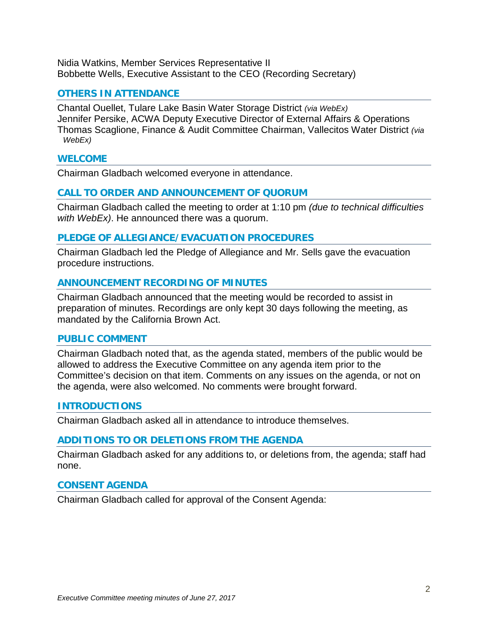Nidia Watkins, Member Services Representative II Bobbette Wells, Executive Assistant to the CEO (Recording Secretary)

## **OTHERS IN ATTENDANCE**

Chantal Ouellet, Tulare Lake Basin Water Storage District *(via WebEx)* Jennifer Persike, ACWA Deputy Executive Director of External Affairs & Operations Thomas Scaglione, Finance & Audit Committee Chairman, Vallecitos Water District *(via WebEx)*

### **WELCOME**

Chairman Gladbach welcomed everyone in attendance.

## **CALL TO ORDER AND ANNOUNCEMENT OF QUORUM**

Chairman Gladbach called the meeting to order at 1:10 pm *(due to technical difficulties with WebEx)*. He announced there was a quorum.

## **PLEDGE OF ALLEGIANCE/EVACUATION PROCEDURES**

Chairman Gladbach led the Pledge of Allegiance and Mr. Sells gave the evacuation procedure instructions.

## **ANNOUNCEMENT RECORDING OF MINUTES**

Chairman Gladbach announced that the meeting would be recorded to assist in preparation of minutes. Recordings are only kept 30 days following the meeting, as mandated by the California Brown Act.

### **PUBLIC COMMENT**

Chairman Gladbach noted that, as the agenda stated, members of the public would be allowed to address the Executive Committee on any agenda item prior to the Committee's decision on that item. Comments on any issues on the agenda, or not on the agenda, were also welcomed. No comments were brought forward.

### **INTRODUCTIONS**

Chairman Gladbach asked all in attendance to introduce themselves.

### **ADDITIONS TO OR DELETIONS FROM THE AGENDA**

Chairman Gladbach asked for any additions to, or deletions from, the agenda; staff had none.

### **CONSENT AGENDA**

Chairman Gladbach called for approval of the Consent Agenda: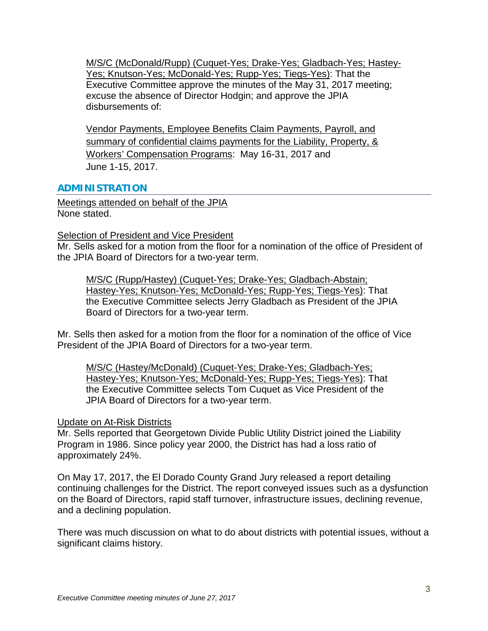M/S/C (McDonald/Rupp) (Cuquet-Yes; Drake-Yes; Gladbach-Yes; Hastey-Yes; Knutson-Yes; McDonald-Yes; Rupp-Yes; Tiegs-Yes): That the Executive Committee approve the minutes of the May 31, 2017 meeting; excuse the absence of Director Hodgin; and approve the JPIA disbursements of:

Vendor Payments, Employee Benefits Claim Payments, Payroll, and summary of confidential claims payments for the Liability, Property, & Workers' Compensation Programs: May 16-31, 2017 and June 1-15, 2017.

# **ADMINISTRATION**

Meetings attended on behalf of the JPIA None stated.

## **Selection of President and Vice President**

Mr. Sells asked for a motion from the floor for a nomination of the office of President of the JPIA Board of Directors for a two-year term.

M/S/C (Rupp/Hastey) (Cuquet-Yes; Drake-Yes; Gladbach-Abstain; Hastey-Yes; Knutson-Yes; McDonald-Yes; Rupp-Yes; Tiegs-Yes): That the Executive Committee selects Jerry Gladbach as President of the JPIA Board of Directors for a two-year term.

Mr. Sells then asked for a motion from the floor for a nomination of the office of Vice President of the JPIA Board of Directors for a two-year term.

M/S/C (Hastey/McDonald) (Cuquet-Yes; Drake-Yes; Gladbach-Yes; Hastey-Yes; Knutson-Yes; McDonald-Yes; Rupp-Yes; Tiegs-Yes): That the Executive Committee selects Tom Cuquet as Vice President of the JPIA Board of Directors for a two-year term.

## Update on At-Risk Districts

Mr. Sells reported that Georgetown Divide Public Utility District joined the Liability Program in 1986. Since policy year 2000, the District has had a loss ratio of approximately 24%.

On May 17, 2017, the El Dorado County Grand Jury released a report detailing continuing challenges for the District. The report conveyed issues such as a dysfunction on the Board of Directors, rapid staff turnover, infrastructure issues, declining revenue, and a declining population.

There was much discussion on what to do about districts with potential issues, without a significant claims history.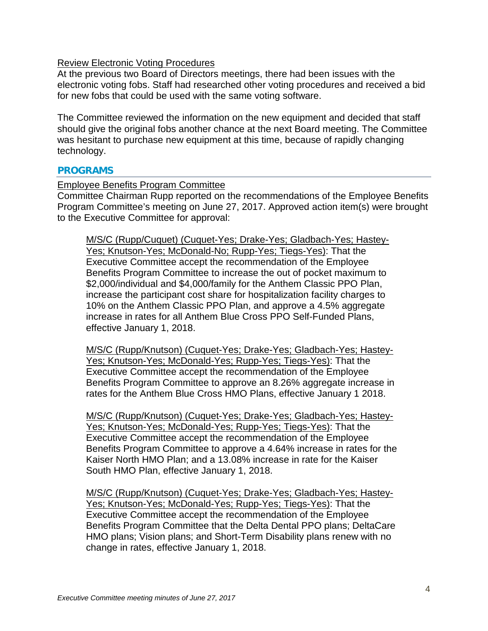## Review Electronic Voting Procedures

At the previous two Board of Directors meetings, there had been issues with the electronic voting fobs. Staff had researched other voting procedures and received a bid for new fobs that could be used with the same voting software.

The Committee reviewed the information on the new equipment and decided that staff should give the original fobs another chance at the next Board meeting. The Committee was hesitant to purchase new equipment at this time, because of rapidly changing technology.

### **PROGRAMS**

### Employee Benefits Program Committee

Committee Chairman Rupp reported on the recommendations of the Employee Benefits Program Committee's meeting on June 27, 2017. Approved action item(s) were brought to the Executive Committee for approval:

M/S/C (Rupp/Cuquet) (Cuquet-Yes; Drake-Yes; Gladbach-Yes; Hastey-Yes; Knutson-Yes; McDonald-No; Rupp-Yes; Tiegs-Yes): That the Executive Committee accept the recommendation of the Employee Benefits Program Committee to increase the out of pocket maximum to \$2,000/individual and \$4,000/family for the Anthem Classic PPO Plan, increase the participant cost share for hospitalization facility charges to 10% on the Anthem Classic PPO Plan, and approve a 4.5% aggregate increase in rates for all Anthem Blue Cross PPO Self-Funded Plans, effective January 1, 2018.

M/S/C (Rupp/Knutson) (Cuquet-Yes; Drake-Yes; Gladbach-Yes; Hastey-Yes; Knutson-Yes; McDonald-Yes; Rupp-Yes; Tiegs-Yes): That the Executive Committee accept the recommendation of the Employee Benefits Program Committee to approve an 8.26% aggregate increase in rates for the Anthem Blue Cross HMO Plans, effective January 1 2018.

M/S/C (Rupp/Knutson) (Cuquet-Yes; Drake-Yes; Gladbach-Yes; Hastey-Yes; Knutson-Yes; McDonald-Yes; Rupp-Yes; Tiegs-Yes): That the Executive Committee accept the recommendation of the Employee Benefits Program Committee to approve a 4.64% increase in rates for the Kaiser North HMO Plan; and a 13.08% increase in rate for the Kaiser South HMO Plan, effective January 1, 2018.

M/S/C (Rupp/Knutson) (Cuquet-Yes; Drake-Yes; Gladbach-Yes; Hastey-Yes; Knutson-Yes; McDonald-Yes; Rupp-Yes; Tiegs-Yes): That the Executive Committee accept the recommendation of the Employee Benefits Program Committee that the Delta Dental PPO plans; DeltaCare HMO plans; Vision plans; and Short-Term Disability plans renew with no change in rates, effective January 1, 2018.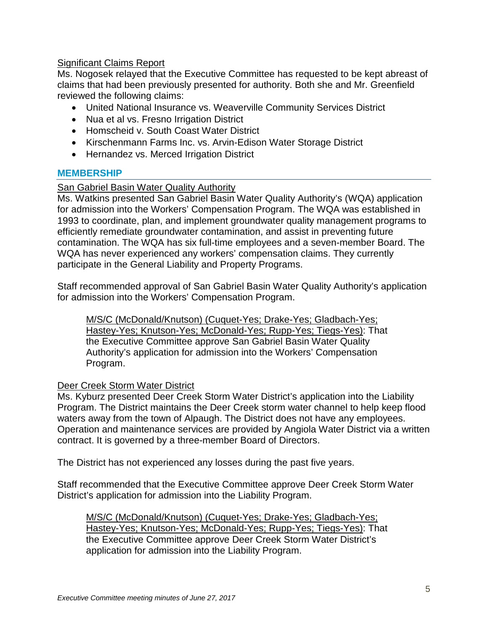# **Significant Claims Report**

Ms. Nogosek relayed that the Executive Committee has requested to be kept abreast of claims that had been previously presented for authority. Both she and Mr. Greenfield reviewed the following claims:

- United National Insurance vs. Weaverville Community Services District
- Nua et al vs. Fresno Irrigation District
- Homscheid v. South Coast Water District
- Kirschenmann Farms Inc. vs. Arvin-Edison Water Storage District
- Hernandez vs. Merced Irrigation District

## **MEMBERSHIP**

# San Gabriel Basin Water Quality Authority

Ms. Watkins presented San Gabriel Basin Water Quality Authority's (WQA) application for admission into the Workers' Compensation Program. The WQA was established in 1993 to coordinate, plan, and implement groundwater quality management programs to efficiently remediate groundwater contamination, and assist in preventing future contamination. The WQA has six full-time employees and a seven-member Board. The WQA has never experienced any workers' compensation claims. They currently participate in the General Liability and Property Programs.

Staff recommended approval of San Gabriel Basin Water Quality Authority's application for admission into the Workers' Compensation Program.

M/S/C (McDonald/Knutson) (Cuquet-Yes; Drake-Yes; Gladbach-Yes; Hastey-Yes; Knutson-Yes; McDonald-Yes; Rupp-Yes; Tiegs-Yes): That the Executive Committee approve San Gabriel Basin Water Quality Authority's application for admission into the Workers' Compensation Program.

## Deer Creek Storm Water District

Ms. Kyburz presented Deer Creek Storm Water District's application into the Liability Program. The District maintains the Deer Creek storm water channel to help keep flood waters away from the town of Alpaugh. The District does not have any employees. Operation and maintenance services are provided by Angiola Water District via a written contract. It is governed by a three-member Board of Directors.

The District has not experienced any losses during the past five years.

Staff recommended that the Executive Committee approve Deer Creek Storm Water District's application for admission into the Liability Program.

M/S/C (McDonald/Knutson) (Cuquet-Yes; Drake-Yes; Gladbach-Yes; Hastey-Yes; Knutson-Yes; McDonald-Yes; Rupp-Yes; Tiegs-Yes): That the Executive Committee approve Deer Creek Storm Water District's application for admission into the Liability Program.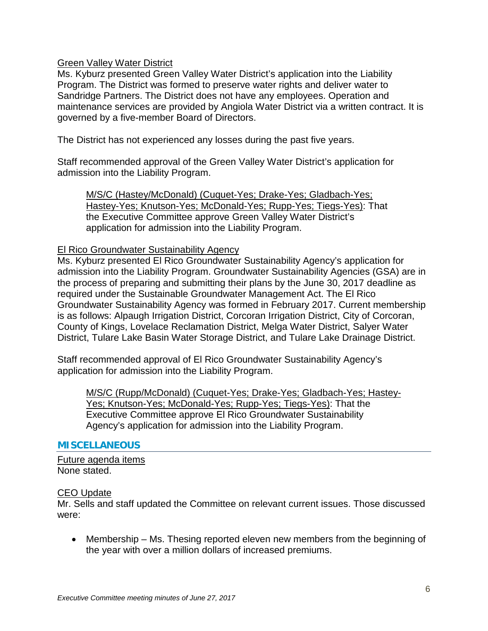## Green Valley Water District

Ms. Kyburz presented Green Valley Water District's application into the Liability Program. The District was formed to preserve water rights and deliver water to Sandridge Partners. The District does not have any employees. Operation and maintenance services are provided by Angiola Water District via a written contract. It is governed by a five-member Board of Directors.

The District has not experienced any losses during the past five years.

Staff recommended approval of the Green Valley Water District's application for admission into the Liability Program.

M/S/C (Hastey/McDonald) (Cuquet-Yes; Drake-Yes; Gladbach-Yes; Hastey-Yes; Knutson-Yes; McDonald-Yes; Rupp-Yes; Tiegs-Yes): That the Executive Committee approve Green Valley Water District's application for admission into the Liability Program.

### El Rico Groundwater Sustainability Agency

Ms. Kyburz presented El Rico Groundwater Sustainability Agency's application for admission into the Liability Program. Groundwater Sustainability Agencies (GSA) are in the process of preparing and submitting their plans by the June 30, 2017 deadline as required under the Sustainable Groundwater Management Act. The El Rico Groundwater Sustainability Agency was formed in February 2017. Current membership is as follows: Alpaugh Irrigation District, Corcoran Irrigation District, City of Corcoran, County of Kings, Lovelace Reclamation District, Melga Water District, Salyer Water District, Tulare Lake Basin Water Storage District, and Tulare Lake Drainage District.

Staff recommended approval of El Rico Groundwater Sustainability Agency's application for admission into the Liability Program.

M/S/C (Rupp/McDonald) (Cuquet-Yes; Drake-Yes; Gladbach-Yes; Hastey-Yes; Knutson-Yes; McDonald-Yes; Rupp-Yes; Tiegs-Yes): That the Executive Committee approve El Rico Groundwater Sustainability Agency's application for admission into the Liability Program.

### **MISCELLANEOUS**

Future agenda items None stated.

### CEO Update

Mr. Sells and staff updated the Committee on relevant current issues. Those discussed were:

• Membership – Ms. Thesing reported eleven new members from the beginning of the year with over a million dollars of increased premiums.